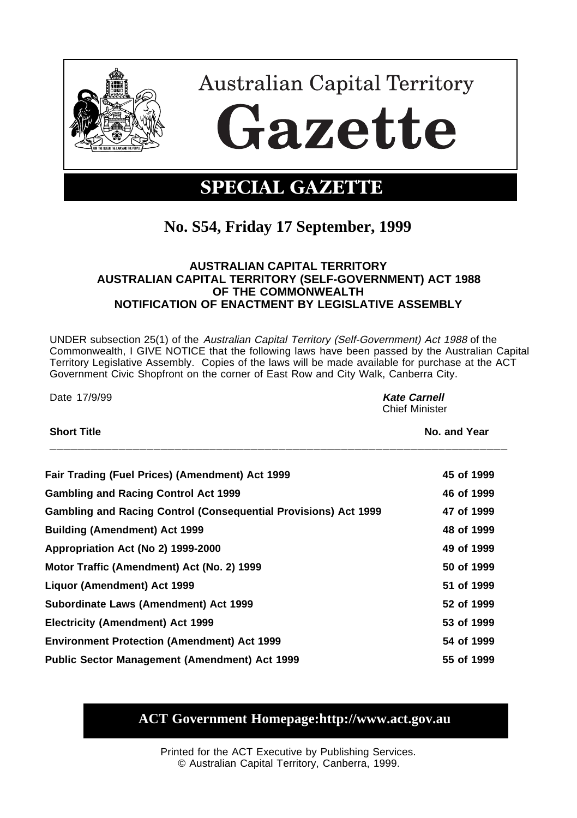

**Australian Capital Territory** Gazette

## **SPECIAL GAZETTE**

## **No. S54, Friday 17 September, 1999**

## **AUSTRALIAN CAPITAL TERRITORY AUSTRALIAN CAPITAL TERRITORY (SELF-GOVERNMENT) ACT 1988 OF THE COMMONWEALTH NOTIFICATION OF ENACTMENT BY LEGISLATIVE ASSEMBLY**

UNDER subsection 25(1) of the Australian Capital Territory (Self-Government) Act 1988 of the Commonwealth, I GIVE NOTICE that the following laws have been passed by the Australian Capital Territory Legislative Assembly. Copies of the laws will be made available for purchase at the ACT Government Civic Shopfront on the corner of East Row and City Walk, Canberra City.

Date 17/9/99 **Kate Carnell**

Chief Minister

| Fair Trading (Fuel Prices) (Amendment) Act 1999                        | 45 of 1999 |
|------------------------------------------------------------------------|------------|
| <b>Gambling and Racing Control Act 1999</b>                            | 46 of 1999 |
| <b>Gambling and Racing Control (Consequential Provisions) Act 1999</b> | 47 of 1999 |
| <b>Building (Amendment) Act 1999</b>                                   | 48 of 1999 |
| Appropriation Act (No 2) 1999-2000                                     | 49 of 1999 |
| Motor Traffic (Amendment) Act (No. 2) 1999                             | 50 of 1999 |
| Liquor (Amendment) Act 1999                                            | 51 of 1999 |
| Subordinate Laws (Amendment) Act 1999                                  | 52 of 1999 |
| Electricity (Amendment) Act 1999                                       | 53 of 1999 |
| <b>Environment Protection (Amendment) Act 1999</b>                     | 54 of 1999 |
| <b>Public Sector Management (Amendment) Act 1999</b>                   | 55 of 1999 |

**Short Title No. and Year** 

## **ACT Government Homepage:http://www.act.gov.au**

Printed for the ACT Executive by Publishing Services. © Australian Capital Territory, Canberra, 1999.